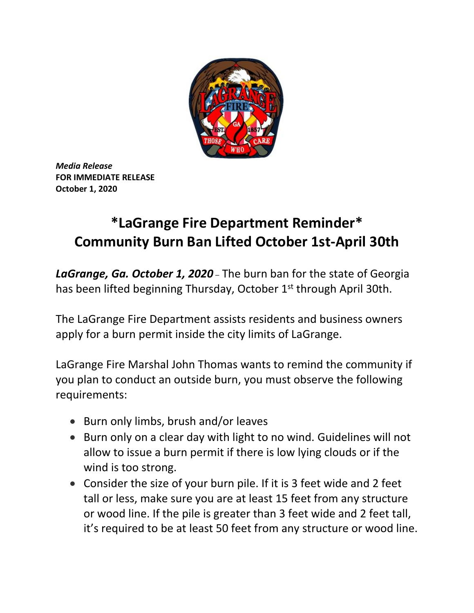

*Media Release* **FOR IMMEDIATE RELEASE October 1, 2020**

## **\*LaGrange Fire Department Reminder\* Community Burn Ban Lifted October 1st-April 30th**

*LaGrange, Ga. October 1, 2020* – The burn ban for the state of Georgia has been lifted beginning Thursday, October 1<sup>st</sup> through April 30th.

The LaGrange Fire Department assists residents and business owners apply for a burn permit inside the city limits of LaGrange.

LaGrange Fire Marshal John Thomas wants to remind the community if you plan to conduct an outside burn, you must observe the following requirements:

- Burn only limbs, brush and/or leaves
- Burn only on a clear day with light to no wind. Guidelines will not allow to issue a burn permit if there is low lying clouds or if the wind is too strong.
- Consider the size of your burn pile. If it is 3 feet wide and 2 feet tall or less, make sure you are at least 15 feet from any structure or wood line. If the pile is greater than 3 feet wide and 2 feet tall, it's required to be at least 50 feet from any structure or wood line.